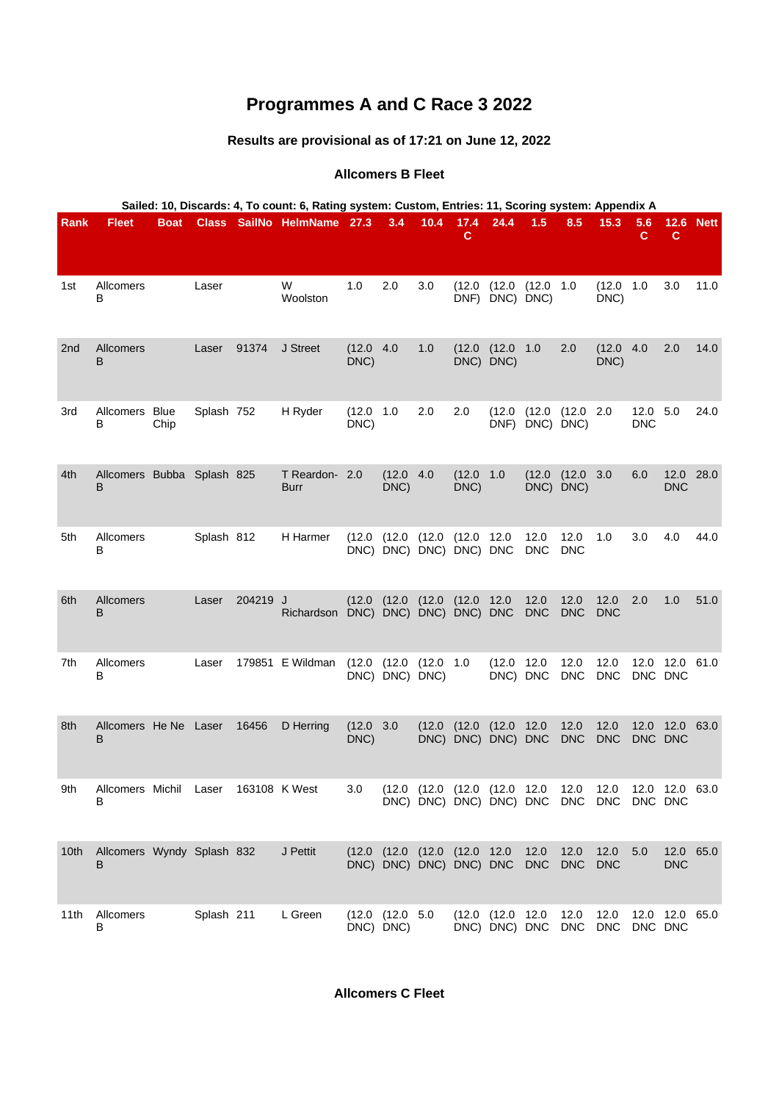# **Programmes A and C Race 3 2022**

# **Results are provisional as of 17:21 on June 12, 2022**

# **Allcomers B Fleet**

| Sailed: 10, Discards: 4, To count: 6, Rating system: Custom, Entries: 11, Scoring system: Appendix A |                                           |             |            |          |                            |                    |                              |                                                         |                   |                                                 |                    |                              |                                                                                                      |                        |                         |             |
|------------------------------------------------------------------------------------------------------|-------------------------------------------|-------------|------------|----------|----------------------------|--------------------|------------------------------|---------------------------------------------------------|-------------------|-------------------------------------------------|--------------------|------------------------------|------------------------------------------------------------------------------------------------------|------------------------|-------------------------|-------------|
| Rank                                                                                                 | <b>Fleet</b>                              | <b>Boat</b> |            |          | Class SailNo HelmName 27.3 |                    | 3.4                          | 10.4                                                    | 17.4<br>C         | 24.4                                            | 1.5                | 8.5                          | 15.3                                                                                                 | 5.6<br>C.              | 12.6<br>$\mathbf c$     | <b>Nett</b> |
| 1st                                                                                                  | Allcomers<br>в                            |             | Laser      |          | W<br>Woolston              | 1.0                | 2.0                          | 3.0                                                     |                   | $(12.0 \t(12.0 \t(12.0 \t1.0$<br>DNF) DNC) DNC) |                    |                              | (12.0 1.0<br>DNC)                                                                                    |                        | 3.0                     | 11.0        |
| 2 <sub>nd</sub>                                                                                      | <b>Allcomers</b><br>B                     |             | Laser      | 91374    | J Street                   | (12.0 4.0<br>DNC)  |                              | 1.0                                                     |                   | (12.0 (12.0 1.0<br>DNC) DNC)                    |                    | 2.0                          | (12.0 4.0<br>DNC)                                                                                    |                        | 2.0                     | 14.0        |
| 3rd                                                                                                  | Allcomers Blue<br>В                       | Chip        | Splash 752 |          | H Ryder                    | (12.0 1.0<br>DNC)  |                              | 2.0                                                     | 2.0               | (12.0)                                          | DNF) DNC) DNC)     | (12.0 (12.0 2.0              |                                                                                                      | 12.0 5.0<br><b>DNC</b> |                         | 24.0        |
| 4th                                                                                                  | Allcomers Bubba Splash 825<br>B           |             |            |          | T Reardon- 2.0<br>Burr     |                    | (12.0 4.0<br>DNC)            |                                                         | (12.0 1.0<br>DNC) |                                                 |                    | (12.0 (12.0 3.0<br>DNC) DNC) |                                                                                                      | 6.0                    | 12.0 28.0<br><b>DNC</b> |             |
| 5th                                                                                                  | Allcomers<br>В                            |             | Splash 812 |          | H Harmer                   |                    |                              | $(12.0 \t(12.0 \t(12.0$<br>DNC) DNC) DNC) DNC) DNC      | (12.0 12.0        |                                                 | 12.0<br><b>DNC</b> | 12.0<br><b>DNC</b>           | 1.0                                                                                                  | 3.0                    | 4.0                     | 44.0        |
| 6th                                                                                                  | <b>Allcomers</b><br>B                     |             | Laser      | 204219 J | Richardson                 |                    |                              | $(12.0 \t(12.0 \t(12.0$<br>DNC) DNC) DNC) DNC) DNC      | (12.0 12.0        |                                                 | 12.0<br><b>DNC</b> | 12.0<br><b>DNC</b>           | 12.0<br><b>DNC</b>                                                                                   | 2.0                    | 1.0                     | 51.0        |
| 7th                                                                                                  | Allcomers<br>в                            |             | Laser      |          | 179851 E Wildman           |                    | DNC) DNC) DNC)               | $(12.0 \t(12.0 \t(12.0 \t1.0$                           |                   | (12.0 12.0<br>DNC) DNC                          |                    | 12.0<br><b>DNC</b>           | 12.0<br><b>DNC</b>                                                                                   | DNC DNC                | 12.0 12.0 61.0          |             |
| 8th                                                                                                  | Allcomers He Ne Laser<br>B                |             |            | 16456    | D Herring                  | (12.0 3.0)<br>DNC) |                              | (12.0)                                                  | (12.0)            | (12.0 12.0<br>DNC) DNC) DNC) DNC                |                    | 12.0<br><b>DNC</b>           | 12.0<br><b>DNC</b>                                                                                   | DNC DNC                | 12.0 12.0 63.0          |             |
| 9th                                                                                                  | Allcomers Michil Laser 163108 K West<br>в |             |            |          |                            | 3.0                |                              |                                                         |                   |                                                 |                    |                              | (12.0 (12.0 (12.0 (12.0 12.0 12.0 12.0 12.0 12.0 63.0<br>DNC) DNC) DNC) DNC) DNC DNC DNC DNC DNC DNC |                        |                         |             |
| 10th                                                                                                 | Allcomers Wyndy Splash 832<br>В           |             |            |          | J Pettit                   |                    |                              | (12.0 (12.0 (12.0 (12.0 12.0<br>DNC) DNC) DNC) DNC) DNC |                   |                                                 | 12.0<br><b>DNC</b> | 12.0<br><b>DNC</b>           | 12.0<br><b>DNC</b>                                                                                   | 5.0                    | 12.0 65.0<br><b>DNC</b> |             |
| 11th                                                                                                 | Allcomers<br>в                            |             | Splash 211 |          | L Green                    |                    | (12.0 (12.0 5.0<br>DNC) DNC) |                                                         |                   | (12.0 (12.0 12.0<br>DNC) DNC) DNC DNC           |                    | 12.0                         | 12.0<br>DNC                                                                                          | DNC DNC                | 12.0 12.0 65.0          |             |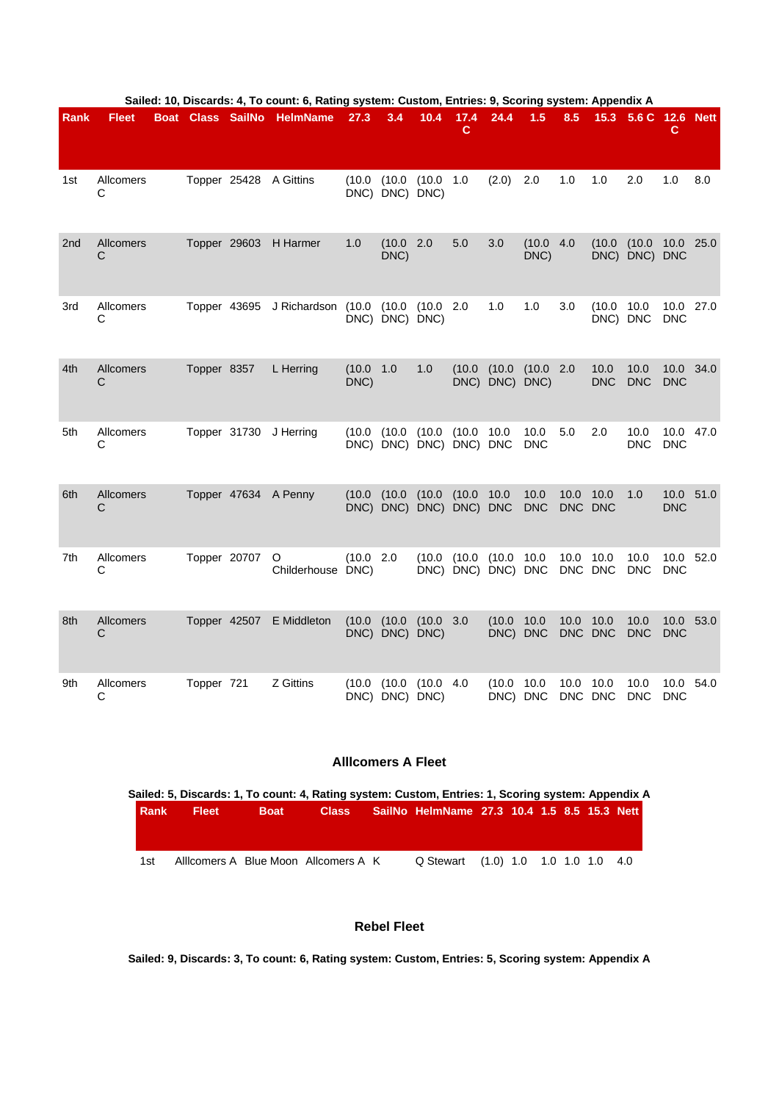| <b>Rank</b>     | <b>Fleet</b>   | Boat | <b>Class SailNo</b> |              | <b>HelmName</b>              | 27.3              | 3.4                               | 10.4            | 17.4<br>c | 24.4                         | 1.5                | 8.5                | 15.3               | 5.6 C 12.6 Nett         | c                       |           |
|-----------------|----------------|------|---------------------|--------------|------------------------------|-------------------|-----------------------------------|-----------------|-----------|------------------------------|--------------------|--------------------|--------------------|-------------------------|-------------------------|-----------|
|                 |                |      |                     |              |                              |                   |                                   |                 |           |                              |                    |                    |                    |                         |                         |           |
| 1st             | Allcomers<br>С |      |                     |              | Topper 25428 A Gittins       | (10.0)            | DNC) DNC) DNC)                    | (10.0 (10.0 1.0 |           | (2.0)                        | 2.0                | 1.0                | 1.0                | 2.0                     | 1.0                     | 8.0       |
| 2 <sub>nd</sub> | Allcomers<br>С |      |                     |              | Topper 29603 H Harmer        | $1.0$             | (10.0 2.0<br>DNC)                 |                 | 5.0       | 3.0                          | (10.0 4.0<br>DNC)  |                    | (10.0)             | (10.0)<br>DNC) DNC) DNC | 10.0 25.0               |           |
| 3rd             | Allcomers<br>С |      |                     |              | Topper 43695 J Richardson    | (10.0)            | DNC) DNC) DNC)                    | (10.0 (10.0 2.0 |           | 1.0                          | 1.0                | 3.0                | (10.0)<br>DNC) DNC | 10.0                    | 10.0 27.0<br><b>DNC</b> |           |
| 4th             | Allcomers<br>C |      | Topper 8357         |              | L Herring                    | (10.0 1.0<br>DNC) |                                   | 1.0             | (10.0)    | (10.0)<br>DNC) DNC) DNC)     | (10.0 2.0          |                    | 10.0<br><b>DNC</b> | 10.0<br><b>DNC</b>      | 10.0 34.0<br><b>DNC</b> |           |
| 5th             | Allcomers<br>C |      |                     |              | Topper 31730 J Herring       | (10.0)            | (10.0)<br>DNC) DNC) DNC) DNC) DNC | (10.0)          | (10.0)    | 10.0                         | 10.0<br><b>DNC</b> | 5.0                | 2.0                | 10.0<br><b>DNC</b>      | <b>DNC</b>              | 10.0 47.0 |
| 6th             | Allcomers<br>С |      |                     |              | Topper 47634 A Penny         | (10.0)            | (10.0)<br>DNC) DNC) DNC) DNC) DNC | (10.0)          | (10.0)    | 10.0                         | 10.0<br><b>DNC</b> | 10.0<br><b>DNC</b> | 10.0<br><b>DNC</b> | 1.0                     | <b>DNC</b>              | 10.0 51.0 |
| 7th             | Allcomers<br>С |      | Topper 20707        |              | $\circ$<br>Childerhouse DNC) | (10.0 2.0         |                                   | (10.0)          | (10.0)    | (10.0)<br>DNC) DNC) DNC) DNC | 10.0               | 10.0               | 10.0<br>DNC DNC    | 10.0<br><b>DNC</b>      | 10.0<br><b>DNC</b>      | 52.0      |
| 8th             | Allcomers<br>С |      |                     | Topper 42507 | E Middleton                  | (10.0)            | (10.0)<br>DNC) DNC) DNC)          | (10.0 3.0       |           | (10.0)<br>DNC) DNC           | 10.0               | 10.0               | 10.0<br>DNC DNC    | 10.0<br><b>DNC</b>      | 10.0<br><b>DNC</b>      | 53.0      |
| 9th             | Allcomers<br>C |      | Topper 721          |              | Z Gittins                    | (10.0)            | (10.0)<br>DNC) DNC) DNC)          | (10.0 4.0       |           | (10.0<br>DNC) DNC            | 10.0               | 10.0               | 10.0<br>DNC DNC    | 10.0<br><b>DNC</b>      | 10.0<br><b>DNC</b>      | 54.0      |

#### **Sailed: 10, Discards: 4, To count: 6, Rating system: Custom, Entries: 9, Scoring system: Appendix A**

#### **Alllcomers A Fleet**

| l Rank i | <b>Fleet</b> | <b>Boat</b> | Class: |                                      |  |  |  |                                                                                                                                                                                          |
|----------|--------------|-------------|--------|--------------------------------------|--|--|--|------------------------------------------------------------------------------------------------------------------------------------------------------------------------------------------|
|          |              |             |        |                                      |  |  |  |                                                                                                                                                                                          |
|          |              |             |        |                                      |  |  |  |                                                                                                                                                                                          |
|          |              |             |        |                                      |  |  |  |                                                                                                                                                                                          |
| 1st      |              |             |        |                                      |  |  |  |                                                                                                                                                                                          |
|          |              |             |        | Allicomers A Blue Moon Allcomers A K |  |  |  | Sailed: 5, Discards: 1, To count: 4, Rating system: Custom, Entries: 1, Scoring system: Appendix A<br>SailNo HelmName 27.3 10.4 1.5 8.5 15.3 Nett<br>Q Stewart (1.0) 1.0 1.0 1.0 1.0 4.0 |

## **Rebel Fleet**

**Sailed: 9, Discards: 3, To count: 6, Rating system: Custom, Entries: 5, Scoring system: Appendix A**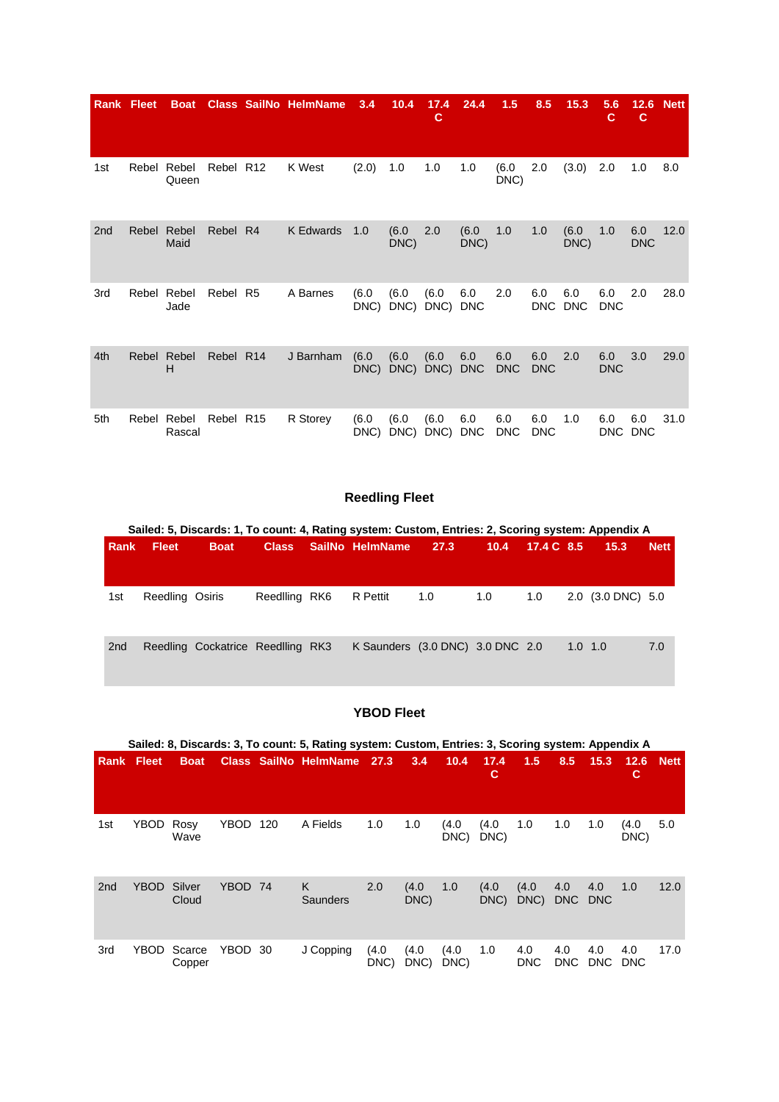|                 | <b>Rank Fleet</b> | <b>Boat</b>          |           |                | <b>Class SailNo HelmName</b> | 3.4           | 10.4          | 17.4<br>c     | 24.4              | 1.5               | 8.5               | 15.3              | 5.6<br>C          | 12.6<br>c         | <b>Nett</b> |
|-----------------|-------------------|----------------------|-----------|----------------|------------------------------|---------------|---------------|---------------|-------------------|-------------------|-------------------|-------------------|-------------------|-------------------|-------------|
| 1st             |                   | Rebel Rebel<br>Queen | Rebel R12 |                | K West                       | (2.0)         | 1.0           | 1.0           | 1.0               | (6.0)<br>DNC)     | 2.0               | (3.0)             | 2.0               | 1.0               | 8.0         |
| 2 <sub>nd</sub> | Rebel             | Rebel<br>Maid        | Rebel R4  |                | K Edwards                    | 1.0           | (6.0)<br>DNC) | 2.0           | (6.0)<br>DNC)     | 1.0               | 1.0               | (6.0)<br>DNC)     | 1.0               | 6.0<br><b>DNC</b> | 12.0        |
| 3rd             | Rebel             | Rebel<br>Jade        | Rebel     | R <sub>5</sub> | A Barnes                     | (6.0)<br>DNC) | (6.0)<br>DNC) | (6.0)<br>DNC) | 6.0<br><b>DNC</b> | 2.0               | 6.0<br>DNC        | 6.0<br><b>DNC</b> | 6.0<br><b>DNC</b> | 2.0               | 28.0        |
| 4th             |                   | Rebel Rebel<br>H     | Rebel R14 |                | J Barnham                    | (6.0)<br>DNC) | (6.0)<br>DNC) | (6.0)<br>DNC) | 6.0<br><b>DNC</b> | 6.0<br><b>DNC</b> | 6.0<br><b>DNC</b> | 2.0               | 6.0<br><b>DNC</b> | 3.0               | 29.0        |
| 5th             | Rebel             | Rebel<br>Rascal      | Rebel R15 |                | R Storey                     | (6.0)<br>DNC) | (6.0)<br>DNC) | (6.0)<br>DNC) | 6.0<br><b>DNC</b> | 6.0<br><b>DNC</b> | 6.0<br><b>DNC</b> | 1.0               | 6.0               | 6.0<br>DNC DNC    | 31.0        |

# **Reedling Fleet**

|                 | Sailed: 5, Discards: 1, To count: 4, Rating system: Custom, Entries: 2, Scoring system: Appendix A |                                   |               |  |                                  |      |      |            |  |                   |             |  |  |  |
|-----------------|----------------------------------------------------------------------------------------------------|-----------------------------------|---------------|--|----------------------------------|------|------|------------|--|-------------------|-------------|--|--|--|
| Rank            | <b>Fleet</b>                                                                                       | <b>Boat</b>                       | <b>Class</b>  |  | SailNo HelmName                  | 27.3 | 10.4 | 17.4 C 8.5 |  | 15.3              | <b>Nett</b> |  |  |  |
|                 |                                                                                                    |                                   |               |  |                                  |      |      |            |  |                   |             |  |  |  |
| 1st             | Reedling Osiris                                                                                    |                                   | Reedlling RK6 |  | R Pettit                         | 1.0  | 1.0  | 1.0        |  | 2.0 (3.0 DNC) 5.0 |             |  |  |  |
| 2 <sub>nd</sub> |                                                                                                    | Reedling Cockatrice Reedlling RK3 |               |  | K Saunders (3.0 DNC) 3.0 DNC 2.0 |      |      |            |  | $1.0 \quad 1.0$   | 7.0         |  |  |  |

# **YBOD Fleet**

|                 | Sailed: 8, Discards: 3, To count: 5, Rating system: Custom, Entries: 3, Scoring system: Appendix A |                  |             |     |                              |               |               |               |               |                   |                   |                   |                   |             |  |
|-----------------|----------------------------------------------------------------------------------------------------|------------------|-------------|-----|------------------------------|---------------|---------------|---------------|---------------|-------------------|-------------------|-------------------|-------------------|-------------|--|
|                 | <b>Rank Fleet</b>                                                                                  | <b>Boat</b>      |             |     | <b>Class SailNo HelmName</b> | 27.3          | 3.4           | 10.4          | 17.4<br>C     | 1.5               | 8.5               | 15.3              | 12.6<br>С         | <b>Nett</b> |  |
| 1st             | YBOD                                                                                               | Rosy<br>Wave     | <b>YBOD</b> | 120 | A Fields                     | 1.0           | 1.0           | (4.0)<br>DNC) | (4.0)<br>DNC) | 1.0               | 1.0               | 1.0               | (4.0)<br>DNC)     | 5.0         |  |
| 2 <sub>nd</sub> | <b>YBOD</b>                                                                                        | Silver<br>Cloud  | <b>YBOD</b> | -74 | K<br>Saunders                | 2.0           | (4.0)<br>DNC) | 1.0           | (4.0)<br>DNC) | (4.0)<br>DNC)     | 4.0<br>DNC        | 4.0<br><b>DNC</b> | 1.0               | 12.0        |  |
| 3rd             | <b>YBOD</b>                                                                                        | Scarce<br>Copper | YBOD        | -30 | J Copping                    | (4.0)<br>DNC) | (4.0)<br>DNC) | (4.0)<br>DNC) | 1.0           | 4.0<br><b>DNC</b> | 4.0<br><b>DNC</b> | 4.0<br><b>DNC</b> | 4.0<br><b>DNC</b> | 17.0        |  |